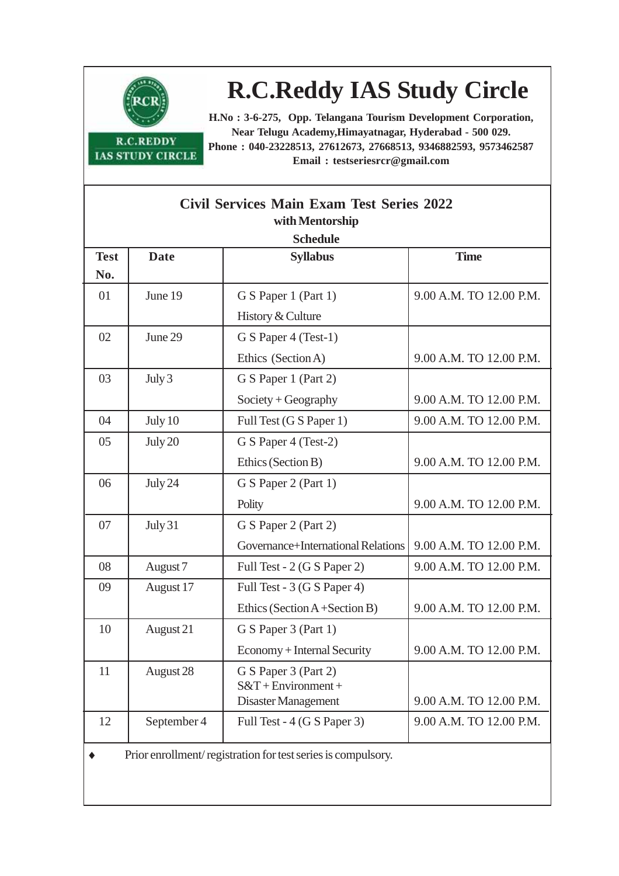

**R.C.REDDY IAS STUDY CIRCLE** 

## **R.C.Reddy IAS Study Circle**

**H.No : 3-6-275, Opp. Telangana Tourism Development Corporation, Near Telugu Academy,Himayatnagar, Hyderabad - 500 029. Phone : 040-23228513, 27612673, 27668513, 9346882593, 9573462587 Email : testseriesrcr@gmail.com**

| <b>Civil Services Main Exam Test Series 2022</b><br>with Mentorship |             |                                    |                         |  |  |
|---------------------------------------------------------------------|-------------|------------------------------------|-------------------------|--|--|
| <b>Schedule</b>                                                     |             |                                    |                         |  |  |
| <b>Test</b>                                                         | <b>Date</b> | <b>Syllabus</b>                    | <b>Time</b>             |  |  |
| No.                                                                 |             |                                    |                         |  |  |
| 01                                                                  | June 19     | G S Paper 1 (Part 1)               | 9.00 A.M. TO 12.00 P.M. |  |  |
|                                                                     |             | History & Culture                  |                         |  |  |
| 02                                                                  | June 29     | G S Paper 4 (Test-1)               |                         |  |  |
|                                                                     |             | Ethics (Section A)                 | 9.00 A.M. TO 12.00 P.M. |  |  |
| 03                                                                  | July 3      | G S Paper 1 (Part 2)               |                         |  |  |
|                                                                     |             | $Society + Geography$              | 9.00 A.M. TO 12.00 P.M. |  |  |
| 04                                                                  | July 10     | Full Test (G S Paper 1)            | 9.00 A.M. TO 12.00 P.M. |  |  |
| 05                                                                  | July 20     | G S Paper 4 (Test-2)               |                         |  |  |
|                                                                     |             | Ethics (Section B)                 | 9.00 A.M. TO 12.00 P.M. |  |  |
| 06                                                                  | July 24     | G S Paper 2 (Part 1)               |                         |  |  |
|                                                                     |             | Polity                             | 9.00 A.M. TO 12.00 P.M. |  |  |
| 07                                                                  | July 31     | G S Paper 2 (Part 2)               |                         |  |  |
|                                                                     |             | Governance+International Relations | 9.00 A.M. TO 12.00 P.M. |  |  |
| 08                                                                  | August 7    | Full Test - 2 (G S Paper 2)        | 9.00 A.M. TO 12.00 P.M. |  |  |
| 09                                                                  | August 17   | Full Test - 3 (G S Paper 4)        |                         |  |  |
|                                                                     |             | Ethics (Section A+Section B)       | 9.00 A.M. TO 12.00 P.M. |  |  |
| 10                                                                  | August 21   | G S Paper 3 (Part 1)               |                         |  |  |
|                                                                     |             | Economy + Internal Security        | 9.00 A.M. TO 12.00 P.M. |  |  |
| 11                                                                  | August 28   | G S Paper 3 (Part 2)               |                         |  |  |
|                                                                     |             | $S&T + Environment +$              |                         |  |  |
|                                                                     |             | Disaster Management                | 9.00 A.M. TO 12.00 P.M. |  |  |
| 12                                                                  | September 4 | Full Test - 4 (G S Paper 3)        | 9.00 A.M. TO 12.00 P.M. |  |  |
| Prior enrollment/registration for test series is compulsory.        |             |                                    |                         |  |  |